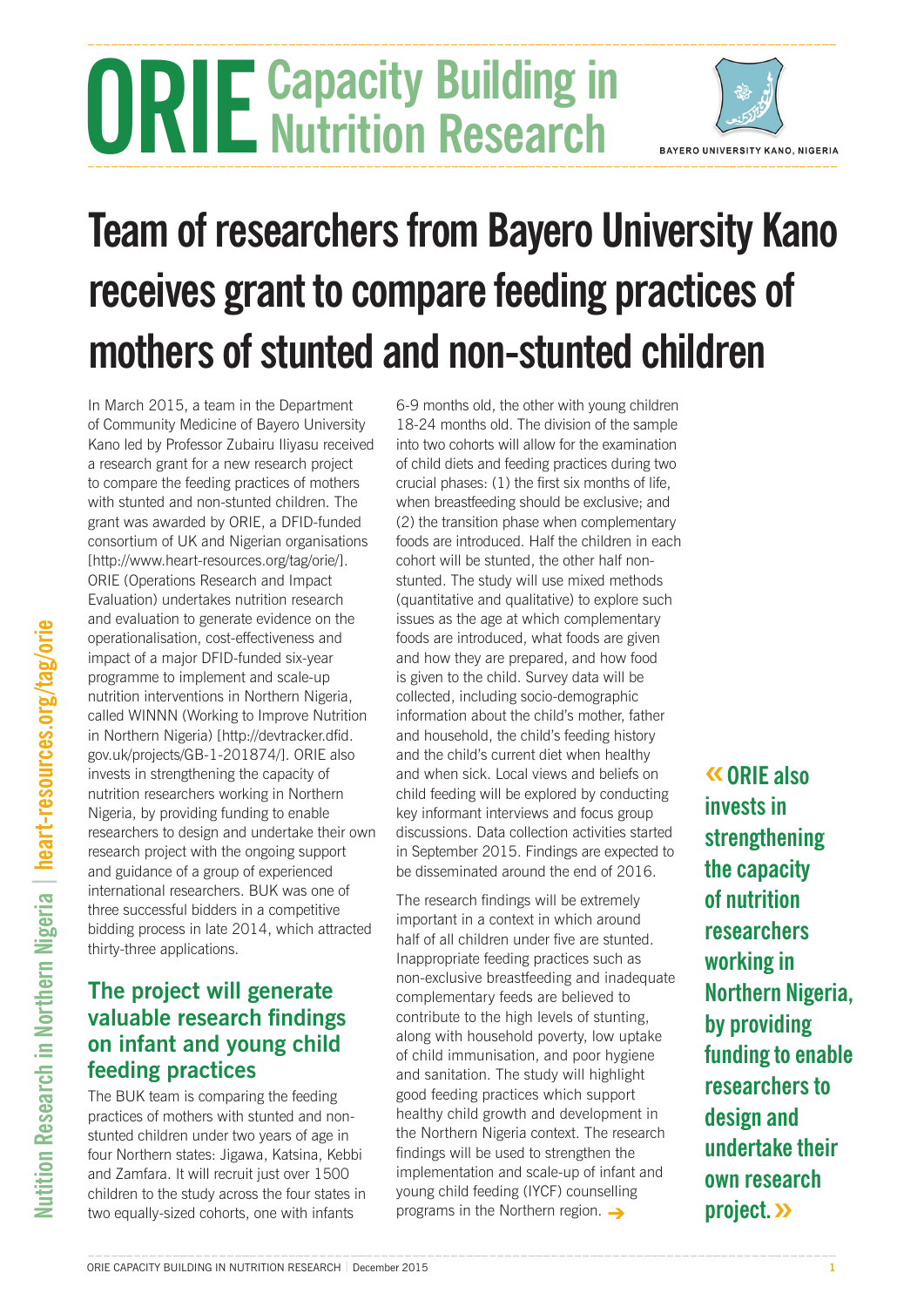# **ORIE** Capacity Building in **Nutrition Research**



## **Team of researchers from Bayero University Kano receives grant to compare feeding practices of mothers of stunted and non-stunted children**

In March 2015, a team in the Department of Community Medicine of Bayero University Kano led by Professor Zubairu Iliyasu received a research grant for a new research project to compare the feeding practices of mothers with stunted and non-stunted children. The grant was awarded by ORIE, a DFID-funded consortium of UK and Nigerian organisations [http://www.heart-resources.org/tag/orie/]. ORIE (Operations Research and Impact Evaluation) undertakes nutrition research and evaluation to generate evidence on the operationalisation, cost-effectiveness and impact of a major DFID-funded six-year programme to implement and scale-up nutrition interventions in Northern Nigeria, called WINNN (Working to Improve Nutrition in Northern Nigeria) [http://devtracker.dfid. gov.uk/projects/GB-1-201874/]. ORIE also invests in strengthening the capacity of nutrition researchers working in Northern Nigeria, by providing funding to enable researchers to design and undertake their own research project with the ongoing support and guidance of a group of experienced international researchers. BUK was one of three successful bidders in a competitive bidding process in late 2014, which attracted thirty-three applications.

## **The project will generate valuable research findings on infant and young child feeding practices**

The BUK team is comparing the feeding practices of mothers with stunted and nonstunted children under two years of age in four Northern states: Jigawa, Katsina, Kebbi and Zamfara. It will recruit just over 1500 children to the study across the four states in two equally-sized cohorts, one with infants

6-9 months old, the other with young children 18-24 months old. The division of the sample into two cohorts will allow for the examination of child diets and feeding practices during two crucial phases: (1) the first six months of life, when breastfeeding should be exclusive; and (2) the transition phase when complementary foods are introduced. Half the children in each cohort will be stunted, the other half nonstunted. The study will use mixed methods (quantitative and qualitative) to explore such issues as the age at which complementary foods are introduced, what foods are given and how they are prepared, and how food is given to the child. Survey data will be collected, including socio-demographic information about the child's mother, father and household, the child's feeding history and the child's current diet when healthy and when sick. Local views and beliefs on child feeding will be explored by conducting key informant interviews and focus group discussions. Data collection activities started in September 2015. Findings are expected to be disseminated around the end of 2016.

The research findings will be extremely important in a context in which around half of all children under five are stunted. Inappropriate feeding practices such as non-exclusive breastfeeding and inadequate complementary feeds are believed to contribute to the high levels of stunting, along with household poverty, low uptake of child immunisation, and poor hygiene and sanitation. The study will highlight good feeding practices which support healthy child growth and development in the Northern Nigeria context. The research findings will be used to strengthen the implementation and scale-up of infant and young child feeding (IYCF) counselling programs in the Northern region.  $\rightarrow$ 

**«ORIE also invests in strengthening the capacity of nutrition researchers working in Northern Nigeria, by providing funding to enable researchers to design and undertake their own research project.»**

ORIE CAPACITY BUILDING IN NUTRITION RESEARCH | December 2015 **1**